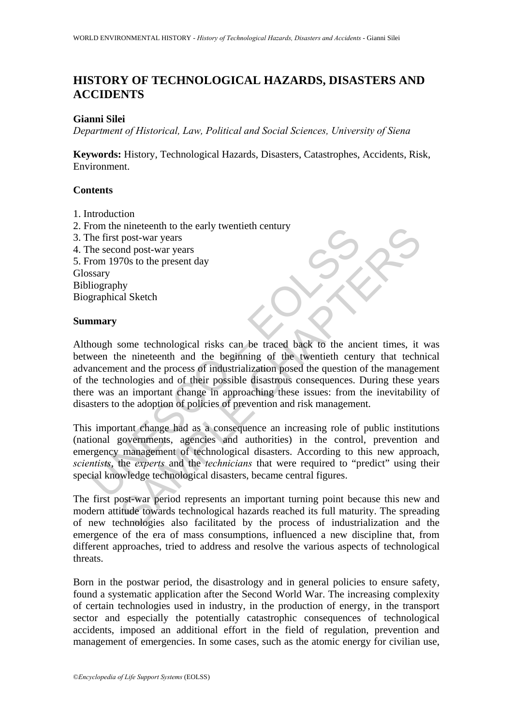# **HISTORY OF TECHNOLOGICAL HAZARDS, DISASTERS AND ACCIDENTS**

### **Gianni Silei**

*Department of Historical, Law, Political and Social Sciences, University of Siena* 

**Keywords:** History, Technological Hazards, Disasters, Catastrophes, Accidents, Risk, Environment.

## **Contents**

- 1. Introduction
- 2. From the nineteenth to the early twentieth century
- 3. The first post-war years
- 4. The second post-war years
- 5. From 1970s to the present day Glossary Bibliography Biographical Sketch

### **Summary**

The first post-war years<br>the first post-war years<br>the second post-war years<br>trom 1970s to the present day<br>sary<br>tiography<br>graphical Sketch<br>**marry**<br>mary<br>prophical Sketch<br>**marry**<br>prophical Sketch<br>**marry**<br>mary<br>prophical Sketch meteent to the early twentieth century<br>
post-war years<br>
and post-war years<br>
and post-war years<br>
and post-war years<br>
and post-war years<br>
and the precess of industrialization posed the question of the manager<br>
and the proces Although some technological risks can be traced back to the ancient times, it was between the nineteenth and the beginning of the twentieth century that technical advancement and the process of industrialization posed the question of the management of the technologies and of their possible disastrous consequences. During these years there was an important change in approaching these issues: from the inevitability of disasters to the adoption of policies of prevention and risk management.

This important change had as a consequence an increasing role of public institutions (national governments, agencies and authorities) in the control, prevention and emergency management of technological disasters. According to this new approach, *scientists*, the *experts* and the *technicians* that were required to "predict" using their special knowledge technological disasters, became central figures.

The first post-war period represents an important turning point because this new and modern attitude towards technological hazards reached its full maturity. The spreading of new technologies also facilitated by the process of industrialization and the emergence of the era of mass consumptions, influenced a new discipline that, from different approaches, tried to address and resolve the various aspects of technological threats.

Born in the postwar period, the disastrology and in general policies to ensure safety, found a systematic application after the Second World War. The increasing complexity of certain technologies used in industry, in the production of energy, in the transport sector and especially the potentially catastrophic consequences of technological accidents, imposed an additional effort in the field of regulation, prevention and management of emergencies. In some cases, such as the atomic energy for civilian use,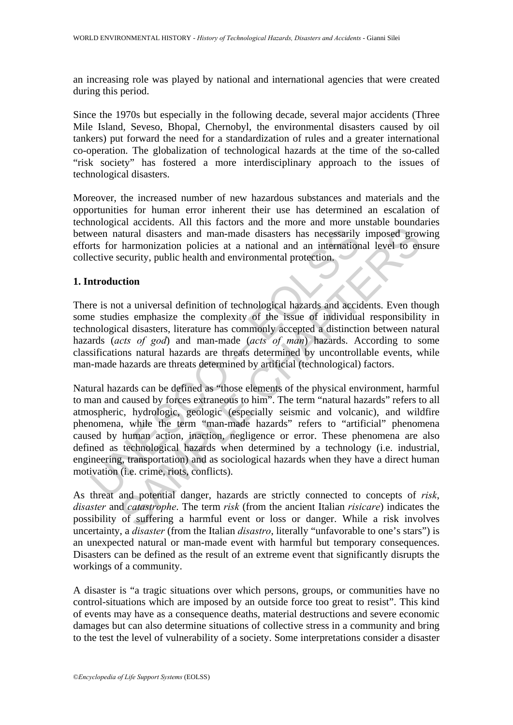an increasing role was played by national and international agencies that were created during this period.

Since the 1970s but especially in the following decade, several major accidents (Three Mile Island, Seveso, Bhopal, Chernobyl, the environmental disasters caused by oil tankers) put forward the need for a standardization of rules and a greater international co-operation. The globalization of technological hazards at the time of the so-called "risk society" has fostered a more interdisciplinary approach to the issues of technological disasters.

Moreover, the increased number of new hazardous substances and materials and the opportunities for human error inherent their use has determined an escalation of technological accidents. All this factors and the more and more unstable boundaries between natural disasters and man-made disasters has necessarily imposed growing efforts for harmonization policies at a national and an international level to ensure collective security, public health and environmental protection.

# **1. Introduction**

There is not a universal definition of technological hazards and accidents. Even though some studies emphasize the complexity of the issue of individual responsibility in technological disasters, literature has commonly accepted a distinction between natural hazards (*acts of god*) and man-made (*acts of man*) hazards. According to some classifications natural hazards are threats determined by uncontrollable events, while man-made hazards are threats determined by artificial (technological) factors.

interior and disasters and man-made disasters has necessarily<br>trs for harmonization policies at a national and an internation<br>ective security, public health and environmental protection.<br>**Arroduction**<br>troduction<br>troduction interior disasters and man-made disasters has necessarily imposed grow<br>harmonization policies at a national and an international level to enecurity, public health and environmental protection,<br>**ction**<br>to a universal defini Natural hazards can be defined as "those elements of the physical environment, harmful to man and caused by forces extraneous to him". The term "natural hazards" refers to all atmospheric, hydrologic, geologic (especially seismic and volcanic), and wildfire phenomena, while the term "man-made hazards" refers to "artificial" phenomena caused by human action, inaction, negligence or error. These phenomena are also defined as technological hazards when determined by a technology (i.e. industrial, engineering, transportation) and as sociological hazards when they have a direct human motivation (i.e. crime, riots, conflicts).

As threat and potential danger, hazards are strictly connected to concepts of *risk*, *disaster* and *catastrophe*. The term *risk* (from the ancient Italian *risicare*) indicates the possibility of suffering a harmful event or loss or danger. While a risk involves uncertainty, a *disaster* (from the Italian *disastro*, literally "unfavorable to one's stars") is an unexpected natural or man-made event with harmful but temporary consequences. Disasters can be defined as the result of an extreme event that significantly disrupts the workings of a community.

A disaster is "a tragic situations over which persons, groups, or communities have no control-situations which are imposed by an outside force too great to resist". This kind of events may have as a consequence deaths, material destructions and severe economic damages but can also determine situations of collective stress in a community and bring to the test the level of vulnerability of a society. Some interpretations consider a disaster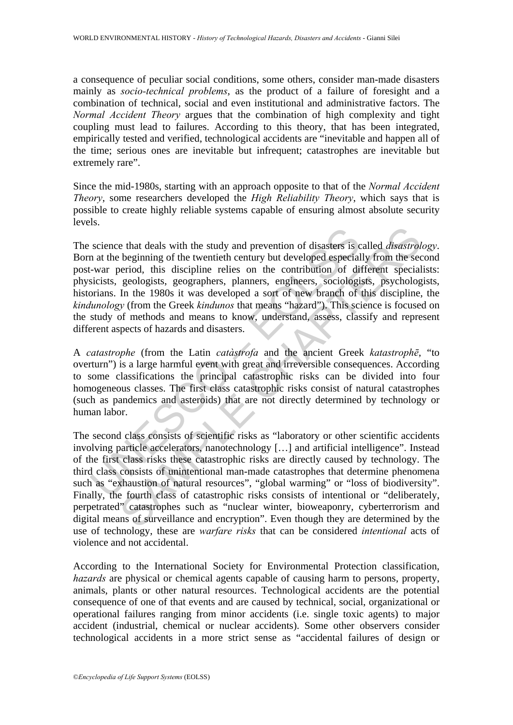a consequence of peculiar social conditions, some others, consider man-made disasters mainly as *socio-technical problems*, as the product of a failure of foresight and a combination of technical, social and even institutional and administrative factors. The *Normal Accident Theory* argues that the combination of high complexity and tight coupling must lead to failures. According to this theory, that has been integrated, empirically tested and verified, technological accidents are "inevitable and happen all of the time; serious ones are inevitable but infrequent; catastrophes are inevitable but extremely rare".

Since the mid-1980s, starting with an approach opposite to that of the *Normal Accident Theory*, some researchers developed the *High Reliability Theory*, which says that is possible to create highly reliable systems capable of ensuring almost absolute security levels.

science that deals with the study and prevention of disasters is on at the beginning of the twentieth century but developed especial wave repriod, this discipline relies on the contribution of directions, exologiziotis, ge The science that deals with the study and prevention of disasters is called *disastrology*. Born at the beginning of the twentieth century but developed especially from the second post-war period, this discipline relies on the contribution of different specialists: physicists, geologists, geographers, planners, engineers, sociologists, psychologists, historians. In the 1980s it was developed a sort of new branch of this discipline, the *kindunology* (from the Greek *kindunos* that means "hazard"). This science is focused on the study of methods and means to know, understand, assess, classify and represent different aspects of hazards and disasters.

A *catastrophe* (from the Latin *catàstrofa* and the ancient Greek *katastrophē*, "to overturn") is a large harmful event with great and irreversible consequences. According to some classifications the principal catastrophic risks can be divided into four homogeneous classes. The first class catastrophic risks consist of natural catastrophes (such as pandemics and asteroids) that are not directly determined by technology or human labor.

e that deals with the study and prevention of disasters is called *disastrol* beginning of the twentieth century but developed especially from the secenciod, this discipline relies on the contribution of different special The second class consists of scientific risks as "laboratory or other scientific accidents involving particle accelerators, nanotechnology […] and artificial intelligence". Instead of the first class risks these catastrophic risks are directly caused by technology. The third class consists of unintentional man-made catastrophes that determine phenomena such as "exhaustion of natural resources", "global warming" or "loss of biodiversity". Finally, the fourth class of catastrophic risks consists of intentional or "deliberately, perpetrated" catastrophes such as "nuclear winter, bioweaponry, cyberterrorism and digital means of surveillance and encryption". Even though they are determined by the use of technology, these are *warfare risks* that can be considered *intentional* acts of violence and not accidental.

According to the International Society for Environmental Protection classification, *hazards* are physical or chemical agents capable of causing harm to persons, property, animals, plants or other natural resources. Technological accidents are the potential consequence of one of that events and are caused by technical, social, organizational or operational failures ranging from minor accidents (i.e. single toxic agents) to major accident (industrial, chemical or nuclear accidents). Some other observers consider technological accidents in a more strict sense as "accidental failures of design or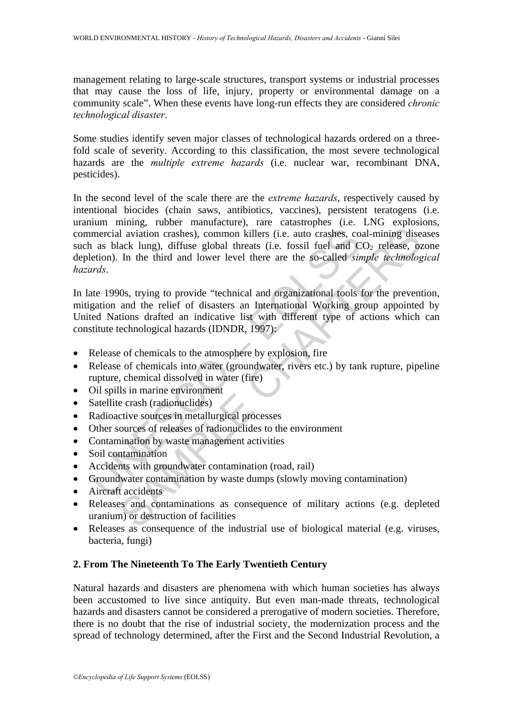management relating to large-scale structures, transport systems or industrial processes that may cause the loss of life, injury, property or environmental damage on a community scale". When these events have long-run effects they are considered *chronic technological disaster*.

Some studies identify seven major classes of technological hazards ordered on a threefold scale of severity. According to this classification, the most severe technological hazards are the *multiple extreme hazards* (i.e. nuclear war, recombinant DNA, pesticides).

mercial aviation crashes), common killers (i.e. auto crashes, co<br>
1 as black lung), diffuse global threats (i.e. fossil fuel and C<br>
etion). In the third and lower level there are the so-called *sin*<br>
ards.<br>
ate 1990s, tryi If aviation crashes), common killers (i.e. auto crashes, coal-mining disearch and the state line of the state line and CO<sub>2</sub> release, or In the third and lower level there are the so-called *simple technolog* on the third In the second level of the scale there are the *extreme hazards*, respectively caused by intentional biocides (chain saws, antibiotics, vaccines), persistent teratogens (i.e. uranium mining, rubber manufacture), rare catastrophes (i.e. LNG explosions, commercial aviation crashes), common killers (i.e. auto crashes, coal-mining diseases such as black lung), diffuse global threats (i.e. fossil fuel and  $CO<sub>2</sub>$  release, ozone depletion). In the third and lower level there are the so-called *simple technological hazards*.

In late 1990s, trying to provide "technical and organizational tools for the prevention, mitigation and the relief of disasters an International Working group appointed by United Nations drafted an indicative list with different type of actions which can constitute technological hazards (IDNDR, 1997):

- Release of chemicals to the atmosphere by explosion, fire
- Release of chemicals into water (groundwater, rivers etc.) by tank rupture, pipeline rupture, chemical dissolved in water (fire)
- Oil spills in marine environment
- Satellite crash (radionuclides)
- Radioactive sources in metallurgical processes
- Other sources of releases of radionuclides to the environment
- Contamination by waste management activities
- Soil contamination
- Accidents with groundwater contamination (road, rail)
- Groundwater contamination by waste dumps (slowly moving contamination)
- Aircraft accidents
- Releases and contaminations as consequence of military actions (e.g. depleted uranium) or destruction of facilities
- Releases as consequence of the industrial use of biological material (e.g. viruses, bacteria, fungi)

# **2. From The Nineteenth To The Early Twentieth Century**

Natural hazards and disasters are phenomena with which human societies has always been accustomed to live since antiquity. But even man-made threats, technological hazards and disasters cannot be considered a prerogative of modern societies. Therefore, there is no doubt that the rise of industrial society, the modernization process and the spread of technology determined, after the First and the Second Industrial Revolution, a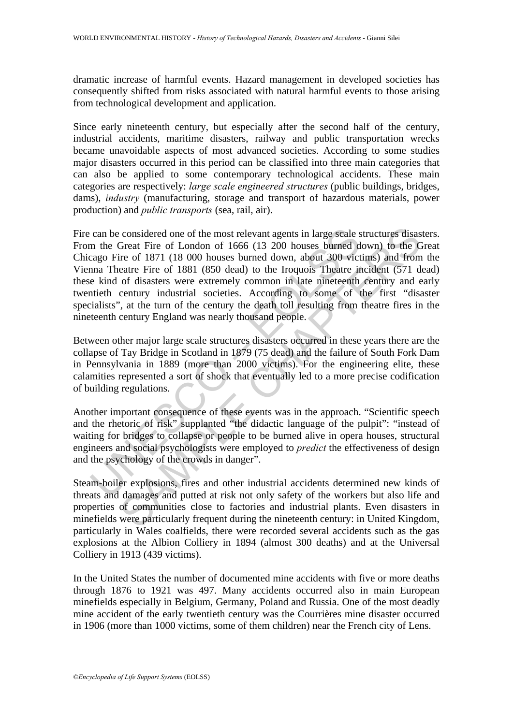dramatic increase of harmful events. Hazard management in developed societies has consequently shifted from risks associated with natural harmful events to those arising from technological development and application.

Since early nineteenth century, but especially after the second half of the century, industrial accidents, maritime disasters, railway and public transportation wrecks became unavoidable aspects of most advanced societies. According to some studies major disasters occurred in this period can be classified into three main categories that can also be applied to some contemporary technological accidents. These main categories are respectively: *large scale engineered structures* (public buildings, bridges, dams), *industry* (manufacturing, storage and transport of hazardous materials, power production) and *public transports* (sea, rail, air).

can be considered one of the most relevant agents in large scale s<br>n the Great Fire of London of 1666 (13 200 houses burned d<br>cago Fire of 1871 (18 000 houses burned down, about 300 vict<br>nna Theatre Fire of 1881 (850 dead considered one of the most relevant agents in large scale structures disas<br>
Great Fire of London of 1666 (13 200 houses burned down) to the C<br>
trie of 1871 (18 000 houses burned down, about 300 victims) and from<br>
eatre Fir Fire can be considered one of the most relevant agents in large scale structures disasters. From the Great Fire of London of 1666 (13 200 houses burned down) to the Great Chicago Fire of 1871 (18 000 houses burned down, about 300 victims) and from the Vienna Theatre Fire of 1881 (850 dead) to the Iroquois Theatre incident (571 dead) these kind of disasters were extremely common in late nineteenth century and early twentieth century industrial societies. According to some of the first "disaster specialists", at the turn of the century the death toll resulting from theatre fires in the nineteenth century England was nearly thousand people.

Between other major large scale structures disasters occurred in these years there are the collapse of Tay Bridge in Scotland in 1879 (75 dead) and the failure of South Fork Dam in Pennsylvania in 1889 (more than 2000 victims). For the engineering elite, these calamities represented a sort of shock that eventually led to a more precise codification of building regulations.

Another important consequence of these events was in the approach. "Scientific speech and the rhetoric of risk" supplanted "the didactic language of the pulpit": "instead of waiting for bridges to collapse or people to be burned alive in opera houses, structural engineers and social psychologists were employed to *predict* the effectiveness of design and the psychology of the crowds in danger".

Steam-boiler explosions, fires and other industrial accidents determined new kinds of threats and damages and putted at risk not only safety of the workers but also life and properties of communities close to factories and industrial plants. Even disasters in minefields were particularly frequent during the nineteenth century: in United Kingdom, particularly in Wales coalfields, there were recorded several accidents such as the gas explosions at the Albion Colliery in 1894 (almost 300 deaths) and at the Universal Colliery in 1913 (439 victims).

In the United States the number of documented mine accidents with five or more deaths through 1876 to 1921 was 497. Many accidents occurred also in main European minefields especially in Belgium, Germany, Poland and Russia. One of the most deadly mine accident of the early twentieth century was the Courrières mine disaster occurred in 1906 (more than 1000 victims, some of them children) near the French city of Lens.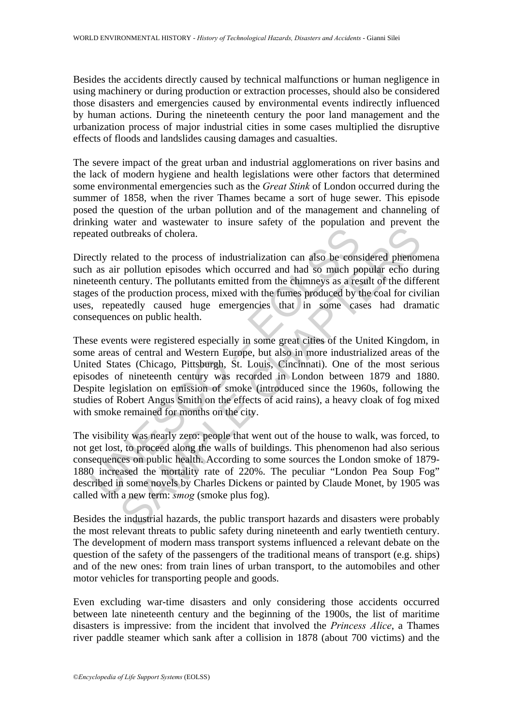Besides the accidents directly caused by technical malfunctions or human negligence in using machinery or during production or extraction processes, should also be considered those disasters and emergencies caused by environmental events indirectly influenced by human actions. During the nineteenth century the poor land management and the urbanization process of major industrial cities in some cases multiplied the disruptive effects of floods and landslides causing damages and casualties.

The severe impact of the great urban and industrial agglomerations on river basins and the lack of modern hygiene and health legislations were other factors that determined some environmental emergencies such as the *Great Stink* of London occurred during the summer of 1858, when the river Thames became a sort of huge sewer. This episode posed the question of the urban pollution and of the management and channeling of drinking water and wastewater to insure safety of the population and prevent the repeated outbreaks of cholera.

Directly related to the process of industrialization can also be considered phenomena such as air pollution episodes which occurred and had so much popular echo during nineteenth century. The pollutants emitted from the chimneys as a result of the different stages of the production process, mixed with the fumes produced by the coal for civilian uses, repeatedly caused huge emergencies that in some cases had dramatic consequences on public health.

and controllated to the process of industrialization can also be conserved and has air pollution episodes which occurred and had so much perfectenth century. The pollutants emitted from the chimneys as a research century. Interests of cholera.<br>
lated to the process of industrialization can also be considered phenon<br>
r pollution episodes which occurred and had so much popular echo due<br>
century. The pollutants emitted from the chimneys as a These events were registered especially in some great cities of the United Kingdom, in some areas of central and Western Europe, but also in more industrialized areas of the United States (Chicago, Pittsburgh, St. Louis, Cincinnati). One of the most serious episodes of nineteenth century was recorded in London between 1879 and 1880. Despite legislation on emission of smoke (introduced since the 1960s, following the studies of Robert Angus Smith on the effects of acid rains), a heavy cloak of fog mixed with smoke remained for months on the city.

The visibility was nearly zero: people that went out of the house to walk, was forced, to not get lost, to proceed along the walls of buildings. This phenomenon had also serious consequences on public health. According to some sources the London smoke of 1879- 1880 increased the mortality rate of 220%. The peculiar "London Pea Soup Fog" described in some novels by Charles Dickens or painted by Claude Monet, by 1905 was called with a new term: *smog* (smoke plus fog).

Besides the industrial hazards, the public transport hazards and disasters were probably the most relevant threats to public safety during nineteenth and early twentieth century. The development of modern mass transport systems influenced a relevant debate on the question of the safety of the passengers of the traditional means of transport (e.g. ships) and of the new ones: from train lines of urban transport, to the automobiles and other motor vehicles for transporting people and goods.

Even excluding war-time disasters and only considering those accidents occurred between late nineteenth century and the beginning of the 1900s, the list of maritime disasters is impressive: from the incident that involved the *Princess Alice*, a Thames river paddle steamer which sank after a collision in 1878 (about 700 victims) and the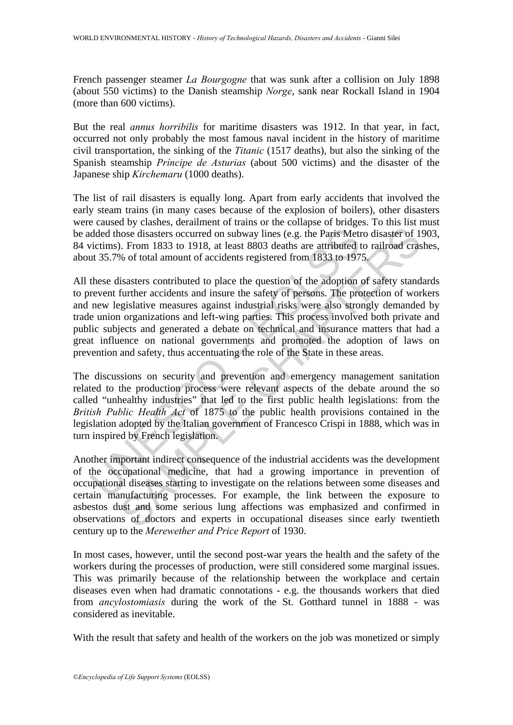French passenger steamer *La Bourgogne* that was sunk after a collision on July 1898 (about 550 victims) to the Danish steamship *Norge*, sank near Rockall Island in 1904 (more than 600 victims).

But the real *annus horribilis* for maritime disasters was 1912. In that year, in fact, occurred not only probably the most famous naval incident in the history of maritime civil transportation, the sinking of the *Titanic* (1517 deaths), but also the sinking of the Spanish steamship *Príncipe de Asturias* (about 500 victims) and the disaster of the Japanese ship *Kirchemaru* (1000 deaths).

The list of rail disasters is equally long. Apart from early accidents that involved the early steam trains (in many cases because of the explosion of boilers), other disasters were caused by clashes, derailment of trains or the collapse of bridges. To this list must be added those disasters occurred on subway lines (e.g. the Paris Metro disaster of 1903, 84 victims). From 1833 to 1918, at least 8803 deaths are attributed to railroad crashes, about 35.7% of total amount of accidents registered from 1833 to 1975.

dded those disasters occurred on subway lines (e.g. the Paris Metictims). From 1833 to 1918, at least 8803 deaths are attributed to 135.7% of total amount of accidents registered from 1833 to 197 these disasters contribute notice disasters occurred on subway lines (e.g. the Paris Metro disaster of 1.<br>
D. From 1833 to 1918, at least 8803 deaths are attributed to railroad cras<br>
% of total amount of accidents registered from 1833 to 1975.<br>
lisa All these disasters contributed to place the question of the adoption of safety standards to prevent further accidents and insure the safety of persons. The protection of workers and new legislative measures against industrial risks were also strongly demanded by trade union organizations and left-wing parties. This process involved both private and public subjects and generated a debate on technical and insurance matters that had a great influence on national governments and promoted the adoption of laws on prevention and safety, thus accentuating the role of the State in these areas.

The discussions on security and prevention and emergency management sanitation related to the production process were relevant aspects of the debate around the so called "unhealthy industries" that led to the first public health legislations: from the *British Public Health Act* of 1875 to the public health provisions contained in the legislation adopted by the Italian government of Francesco Crispi in 1888, which was in turn inspired by French legislation.

Another important indirect consequence of the industrial accidents was the development of the occupational medicine, that had a growing importance in prevention of occupational diseases starting to investigate on the relations between some diseases and certain manufacturing processes. For example, the link between the exposure to asbestos dust and some serious lung affections was emphasized and confirmed in observations of doctors and experts in occupational diseases since early twentieth century up to the *Merewether and Price Report* of 1930.

In most cases, however, until the second post-war years the health and the safety of the workers during the processes of production, were still considered some marginal issues. This was primarily because of the relationship between the workplace and certain diseases even when had dramatic connotations - e.g. the thousands workers that died from *ancylostomiasis* during the work of the St. Gotthard tunnel in 1888 - was considered as inevitable.

With the result that safety and health of the workers on the job was monetized or simply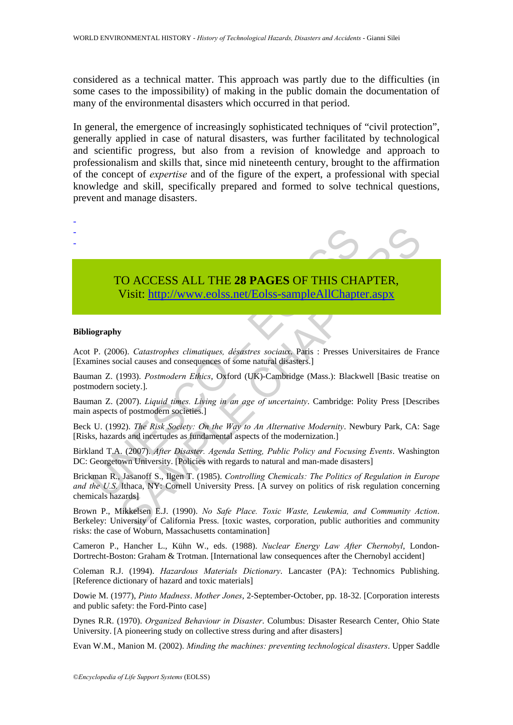considered as a technical matter. This approach was partly due to the difficulties (in some cases to the impossibility) of making in the public domain the documentation of many of the environmental disasters which occurred in that period.

In general, the emergence of increasingly sophisticated techniques of "civil protection", generally applied in case of natural disasters, was further facilitated by technological and scientific progress, but also from a revision of knowledge and approach to professionalism and skills that, since mid nineteenth century, brought to the affirmation of the concept of *expertise* and of the figure of the expert, a professional with special knowledge and skill, specifically prepared and formed to solve technical questions, prevent and manage disasters.



# TO ACCESS ALL THE **28 PAGES** OF THIS CHAPTER, Visit: http://www.eolss.net/Eolss-sampleAllChapter.aspx

#### **Bibliography**

Acot P. (2006). *Catastrophes climatiques, désastres sociaux*. Paris : Presses Universitaires de France [Examines social causes and consequences of some natural disasters.]

Bauman Z. (1993). *Postmodern Ethics*, Oxford (UK)-Cambridge (Mass.): Blackwell [Basic treatise on postmodern society.].

Bauman Z. (2007). *Liquid times. Living in an age of uncertainty*. Cambridge: Polity Press [Describes main aspects of postmodern societies.]

Beck U. (1992). *The Risk Society: On the Way to An Alternative Modernity*. Newbury Park, CA: Sage [Risks, hazards and incertudes as fundamental aspects of the modernization.]

Birkland T.A. (2007). *After Disaster. Agenda Setting, Public Policy and Focusing Events*. Washington DC: Georgetown University. [Policies with regards to natural and man-made disasters]

TO ACCESS ALL THE 28 PAGES OF THIS CHANNIST USE (Visit: http://www.eolss.net/Eolss-sampleAllChapte (Visit: http://www.eolss.net/Eolss-sampleAllChapte (Magnetion)<br>
P. (2006). *Catastrophes climatiques, désastres sociaux*, P **CO ACCESS ALL THE 28 PAGES OF THIS CHA[PTE](https://www.eolss.net/ebooklib/sc_cart.aspx?File=E6-156-12-00)R,**<br>
Visit: http://www.eolss.net/Eolss-sampleAllChapter.aspx<br>
y<br>
16. Catastrophes climatiques, désastres sociaux. Paris : Presses Universitaires de Ficial causes and consequences o Brickman R., Jasanoff S., Ilgen T. (1985). *Controlling Chemicals: The Politics of Regulation in Europe and the U.S.* Ithaca, NY: Cornell University Press. [A survey on politics of risk regulation concerning chemicals hazards]

Brown P., Mikkelsen E.J. (1990). *No Safe Place. Toxic Waste, Leukemia, and Community Action*. Berkeley: University of California Press. [toxic wastes, corporation, public authorities and community risks: the case of Woburn, Massachusetts contamination]

Cameron P., Hancher L., Kühn W., eds. (1988). *Nuclear Energy Law After Chernobyl*, London-Dortrecht-Boston: Graham & Trotman. [International law consequences after the Chernobyl accident]

Coleman R.J. (1994). *Hazardous Materials Dictionary*. Lancaster (PA): Technomics Publishing. [Reference dictionary of hazard and toxic materials]

Dowie M. (1977), *Pinto Madness*. *Mother Jones*, 2-September-October, pp. 18-32. [Corporation interests and public safety: the Ford-Pinto case]

Dynes R.R. (1970). *Organized Behaviour in Disaster*. Columbus: Disaster Research Center, Ohio State University. [A pioneering study on collective stress during and after disasters]

Evan W.M., Manion M. (2002). *Minding the machines: preventing technological disasters*. Upper Saddle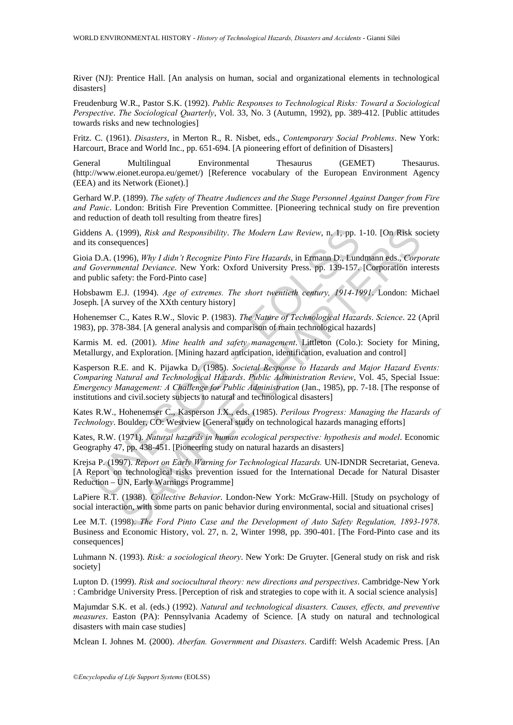River (NJ): Prentice Hall. [An analysis on human, social and organizational elements in technological disasters]

Freudenburg W.R., Pastor S.K. (1992). *Public Responses to Technological Risks: Toward a Sociological Perspective*. *The Sociological Quarterly*, Vol. 33, No. 3 (Autumn, 1992), pp. 389-412. [Public attitudes towards risks and new technologies]

Fritz. C. (1961). *Disasters*, in Merton R., R. Nisbet, eds., *Contemporary Social Problems*. New York: Harcourt, Brace and World Inc., pp. 651-694. [A pioneering effort of definition of Disasters]

General Multilingual Environmental Thesaurus (GEMET) Thesaurus. (http://www.eionet.europa.eu/gemet/) [Reference vocabulary of the European Environment Agency (EEA) and its Network (Eionet).]

Gerhard W.P. (1899). *The safety of Theatre Audiences and the Stage Personnel Against Danger from Fire and Panic*. London: British Fire Prevention Committee. [Pioneering technical study on fire prevention and reduction of death toll resulting from theatre fires]

Giddens A. (1999), *Risk and Responsibility*. *The Modern Law Review*, n. 1, pp. 1-10. [On Risk society and its consequences]

Gioia D.A. (1996), *Why I didn't Recognize Pinto Fire Hazards*, in Ermann D., Lundmann eds., *Corporate and Governmental Deviance*. New York: Oxford University Press. pp. 139-157. [Corporation interests and public safety: the Ford-Pinto case]

Hobsbawm E.J. (1994). *Age of extremes. The short twentieth century, 1914-1991*. London: Michael Joseph. [A survey of the XXth century history]

Hohenemser C., Kates R.W., Slovic P. (1983). *The Nature of Technological Hazards*. *Science*. 22 (April 1983), pp. 378-384. [A general analysis and comparison of main technological hazards]

Karmis M. ed. (2001). *Mine health and safety management*. Littleton (Colo.): Society for Mining, Metallurgy, and Exploration. [Mining hazard anticipation, identification, evaluation and control]

lens A. (1999), *Risk and Responsibility. The Modern Law Review*, n. 1, pp. 1<br>
ts consequences]<br>
ts consequences bifology (*My) I didn't Recognize Pinto Fire Hazards*, in Ermann D., Lune<br> *Governmental Deviance.* New York: (1999), *Risk and Responsibility. The Modern Law Review*, n. 1, pp. 1-10. [On Risk so<br>quences]<br>
1999), *Why I didn't Recognize Pinto Fire Hazards*, in Ermann D., Landmann eds., *Corporatio*<br>
nenental Deviance. New York: Ox Kasperson R.E. and K. Pijawka D. (1985). *Societal Response to Hazards and Major Hazard Events: Comparing Natural and Technological Hazards*. *Public Administration Review*, Vol. 45, Special Issue: *Emergency Management: A Challenge for Public Administration* (Jan., 1985), pp. 7-18. [The response of institutions and civil.society subjects to natural and technological disasters]

Kates R.W., Hohenemser C., Kasperson J.X., eds. (1985). *Perilous Progress: Managing the Hazards of Technology*. Boulder, CO: Westview [General study on technological hazards managing efforts]

Kates, R.W. (1971). *Natural hazards in human ecological perspective: hypothesis and model*. Economic Geography 47, pp. 438-451. [Pioneering study on natural hazards an disasters]

Krejsa P. (1997). *Report on Early Warning for Technological Hazards.* UN-IDNDR Secretariat, Geneva. [A Report on technological risks prevention issued for the International Decade for Natural Disaster Reduction – UN, Early Warnings Programme]

LaPiere R.T. (1938). *Collective Behavior*. London-New York: McGraw-Hill. [Study on psychology of social interaction, with some parts on panic behavior during environmental, social and situational crises]

Lee M.T. (1998). *The Ford Pinto Case and the Development of Auto Safety Regulation, 1893-1978*. Business and Economic History, vol. 27, n. 2, Winter 1998, pp. 390-401. [The Ford-Pinto case and its consequences]

Luhmann N. (1993). *Risk: a sociological theory*. New York: De Gruyter. [General study on risk and risk society]

Lupton D. (1999). *Risk and sociocultural theory: new directions and perspectives*. Cambridge-New York : Cambridge University Press. [Perception of risk and strategies to cope with it. A social science analysis]

Majumdar S.K. et al. (eds.) (1992). *Natural and technological disasters. Causes, effects, and preventive measures*. Easton (PA): Pennsylvania Academy of Science. [A study on natural and technological disasters with main case studies]

Mclean I. Johnes M. (2000). *Aberfan. Government and Disasters*. Cardiff: Welsh Academic Press. [An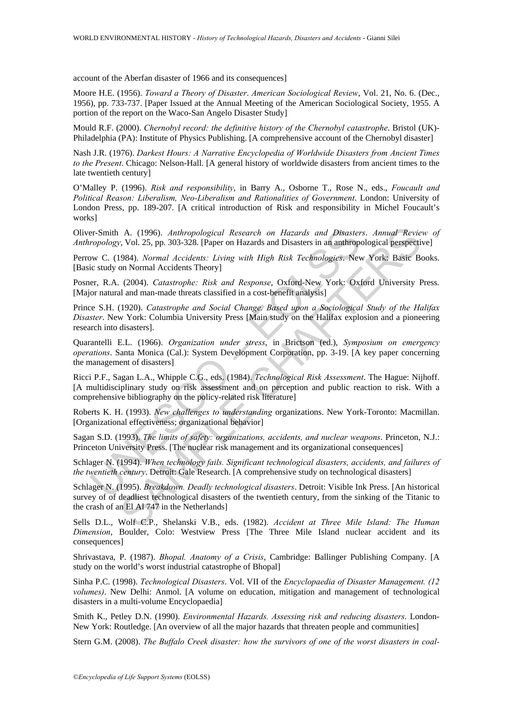account of the Aberfan disaster of 1966 and its consequences]

Moore H.E. (1956). *Toward a Theory of Disaster*. *American Sociological Review*, Vol. 21, No. 6. (Dec., 1956), pp. 733-737. [Paper Issued at the Annual Meeting of the American Sociological Society, 1955. A portion of the report on the Waco-San Angelo Disaster Study]

Mould R.F. (2000). *Chernobyl record: the definitive history of the Chernobyl catastrophe*. Bristol (UK)- Philadelphia (PA): Institute of Physics Publishing. [A comprehensive account of the Chernobyl disaster]

Nash J.R. (1976). *Darkest Hours: A Narrative Encyclopedia of Worldwide Disasters from Ancient Times to the Present*. Chicago: Nelson-Hall. [A general history of worldwide disasters from ancient times to the late twentieth century]

O'Malley P. (1996). *Risk and responsibility*, in Barry A., Osborne T., Rose N., eds., *Foucault and Political Reason: Liberalism, Neo-Liberalism and Rationalities of Government*. London: University of London Press, pp. 189-207. [A critical introduction of Risk and responsibility in Michel Foucault's works]

Oliver-Smith A. (1996). *Anthropological Research on Hazards and Disasters*. *Annual Review of Anthropology*, Vol. 25, pp. 303-328. [Paper on Hazards and Disasters in an anthropological perspective]

Perrow C. (1984). *Normal Accidents: Living with High Risk Technologies*. New York: Basic Books. [Basic study on Normal Accidents Theory]

Posner, R.A. (2004). *Catastrophe: Risk and Response*, Oxford-New York: Oxford University Press. [Major natural and man-made threats classified in a cost-benefit analysis]

Prince S.H. (1920). *Catastrophe and Social Change. Based upon a Sociological Study of the Halifax Disaster*. New York: Columbia University Press [Main study on the Halifax explosion and a pioneering research into disasters].

Quarantelli E.L. (1966). *Organization under stress*, in Brictson (ed.), *Symposium on emergency operations*. Santa Monica (Cal.): System Development Corporation, pp. 3-19. [A key paper concerning the management of disasters]

er-Smith A. (1996). *Anthropological Research on Hazards and Disaster*<br>*ropology*, Vol. 25, pp. 303-328. [Paper on Hazards and Disasters in an anthropology, Vol. 25, pp. 303-328. [Paper on Hazards and Disasters in an anthr A. (1996). *Anthropological Research on Hazards and Disasters. Annual Review, Vol. 25, pp. 303-328. [Paper on Hazards and Disasters in an anthropological perspections. <i>Living with High Risk Technologics*. New York: Basic Ricci P.F., Sagan L.A., Whipple C.G., eds. (1984). *Technological Risk Assessment*. The Hague: Nijhoff. [A multidisciplinary study on risk assessment and on perception and public reaction to risk. With a comprehensive bibliography on the policy-related risk literature]

Roberts K. H. (1993). *New challenges to understanding* organizations. New York-Toronto: Macmillan. [Organizational effectiveness; organizational behavior]

Sagan S.D. (1993). *The limits of safety: organizations, accidents, and nuclear weapons*. Princeton, N.J.: Princeton University Press. [The nuclear risk management and its organizational consequences]

Schlager N. (1994). *When technology fails. Significant technological disasters, accidents, and failures of the twentieth century*. Detroit: Gale Research. [A comprehensive study on technological disasters]

Schlager N. (1995). *Breakdown. Deadly technological disasters*. Detroit: Visible Ink Press. [An historical survey of of deadliest technological disasters of the twentieth century, from the sinking of the Titanic to the crash of an El Al 747 in the Netherlands]

Sells D.L., Wolf C.P., Shelanski V.B., eds. (1982). *Accident at Three Mile Island: The Human Dimension*, Boulder, Colo: Westview Press [The Three Mile Island nuclear accident and its consequences]

Shrivastava, P. (1987). *Bhopal. Anatomy of a Crisis*, Cambridge: Ballinger Publishing Company. [A study on the world's worst industrial catastrophe of Bhopal]

Sinha P.C. (1998). *Technological Disasters*. Vol. VII of the *Encyclopaedia of Disaster Management. (12 volumes)*. New Delhi: Anmol. [A volume on education, mitigation and management of technological disasters in a multi-volume Encyclopaedia]

Smith K., Petley D.N. (1990). *Environmental Hazards. Assessing risk and reducing disasters*. London-New York: Routledge. [An overview of all the major hazards that threaten people and communities]

Stern G.M. (2008). *The Buffalo Creek disaster: how the survivors of one of the worst disasters in coal-*